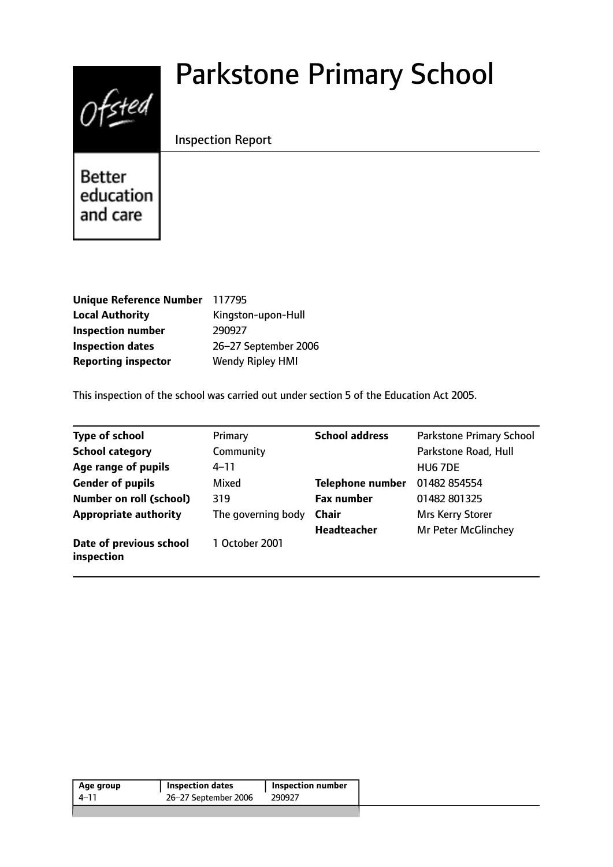# $0$ fsted

# Parkstone Primary School

# Inspection Report

**Better** education and care

| <b>Unique Reference Number</b> | 117795                  |
|--------------------------------|-------------------------|
| <b>Local Authority</b>         | Kingston-upon-Hull      |
| <b>Inspection number</b>       | 290927                  |
| <b>Inspection dates</b>        | 26-27 September 2006    |
| <b>Reporting inspector</b>     | <b>Wendy Ripley HMI</b> |

This inspection of the school was carried out under section 5 of the Education Act 2005.

| <b>Type of school</b>                 | Primary            | <b>School address</b>   | <b>Parkstone Primary School</b> |
|---------------------------------------|--------------------|-------------------------|---------------------------------|
| <b>School category</b>                | Community          |                         | Parkstone Road, Hull            |
| Age range of pupils                   | 4–11               |                         | HU <sub>6</sub> 7DE             |
| <b>Gender of pupils</b>               | Mixed              | <b>Telephone number</b> | 01482 854554                    |
| <b>Number on roll (school)</b>        | 319                | <b>Fax number</b>       | 01482 801325                    |
| <b>Appropriate authority</b>          | The governing body | <b>Chair</b>            | Mrs Kerry Storer                |
|                                       |                    | <b>Headteacher</b>      | Mr Peter McGlinchey             |
| Date of previous school<br>inspection | 1 October 2001     |                         |                                 |

| 26-27 September 2006<br>290927<br>4–11 | Age group | <b>Inspection dates</b> | <b>Inspection number</b> |
|----------------------------------------|-----------|-------------------------|--------------------------|
|                                        |           |                         |                          |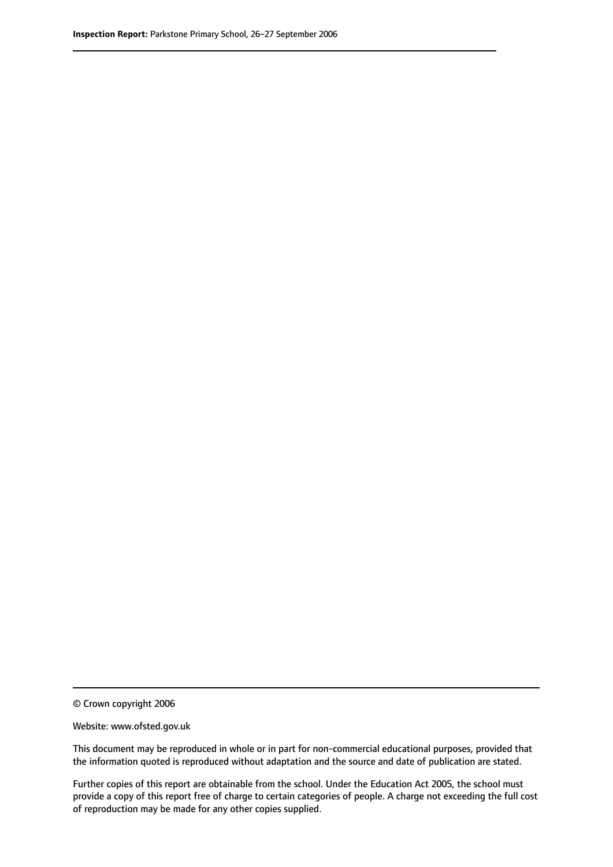© Crown copyright 2006

Website: www.ofsted.gov.uk

This document may be reproduced in whole or in part for non-commercial educational purposes, provided that the information quoted is reproduced without adaptation and the source and date of publication are stated.

Further copies of this report are obtainable from the school. Under the Education Act 2005, the school must provide a copy of this report free of charge to certain categories of people. A charge not exceeding the full cost of reproduction may be made for any other copies supplied.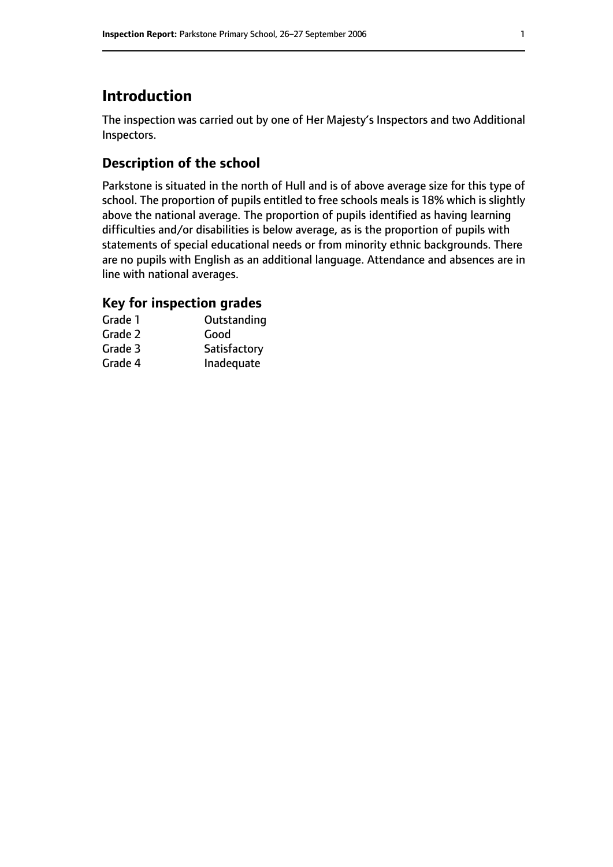# **Introduction**

The inspection was carried out by one of Her Majesty's Inspectors and two Additional Inspectors.

# **Description of the school**

Parkstone is situated in the north of Hull and is of above average size for this type of school. The proportion of pupils entitled to free schools meals is 18% which is slightly above the national average. The proportion of pupils identified as having learning difficulties and/or disabilities is below average, as is the proportion of pupils with statements of special educational needs or from minority ethnic backgrounds. There are no pupils with English as an additional language. Attendance and absences are in line with national averages.

# **Key for inspection grades**

| Grade 1 | Outstanding  |
|---------|--------------|
| Grade 2 | Good         |
| Grade 3 | Satisfactory |
| Grade 4 | Inadequate   |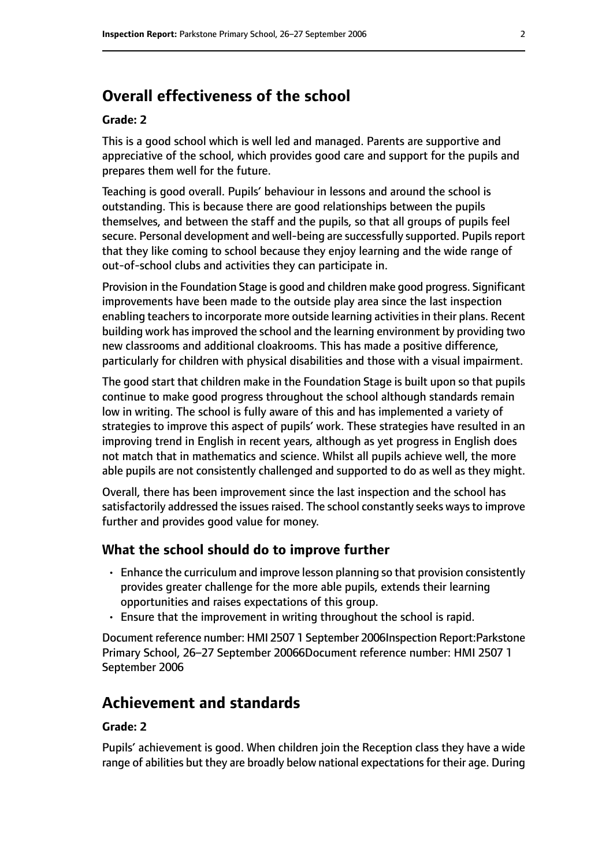# **Overall effectiveness of the school**

#### **Grade: 2**

This is a good school which is well led and managed. Parents are supportive and appreciative of the school, which provides good care and support for the pupils and prepares them well for the future.

Teaching is good overall. Pupils' behaviour in lessons and around the school is outstanding. This is because there are good relationships between the pupils themselves, and between the staff and the pupils, so that all groups of pupils feel secure. Personal development and well-being are successfully supported. Pupils report that they like coming to school because they enjoy learning and the wide range of out-of-school clubs and activities they can participate in.

Provision in the Foundation Stage is good and children make good progress. Significant improvements have been made to the outside play area since the last inspection enabling teachers to incorporate more outside learning activities in their plans. Recent building work has improved the school and the learning environment by providing two new classrooms and additional cloakrooms. This has made a positive difference, particularly for children with physical disabilities and those with a visual impairment.

The good start that children make in the Foundation Stage is built upon so that pupils continue to make good progress throughout the school although standards remain low in writing. The school is fully aware of this and has implemented a variety of strategies to improve this aspect of pupils' work. These strategies have resulted in an improving trend in English in recent years, although as yet progress in English does not match that in mathematics and science. Whilst all pupils achieve well, the more able pupils are not consistently challenged and supported to do as well as they might.

Overall, there has been improvement since the last inspection and the school has satisfactorily addressed the issues raised. The school constantly seeks ways to improve further and provides good value for money.

### **What the school should do to improve further**

- Enhance the curriculum and improve lesson planning so that provision consistently provides greater challenge for the more able pupils, extends their learning opportunities and raises expectations of this group.
- Ensure that the improvement in writing throughout the school is rapid.

Document reference number: HMI 2507 1 September 2006Inspection Report:Parkstone Primary School, 26-27 September 20066Document reference number: HMI 2507 1 September 2006

# **Achievement and standards**

#### **Grade: 2**

Pupils' achievement is good. When children join the Reception class they have a wide range of abilities but they are broadly below national expectations for their age. During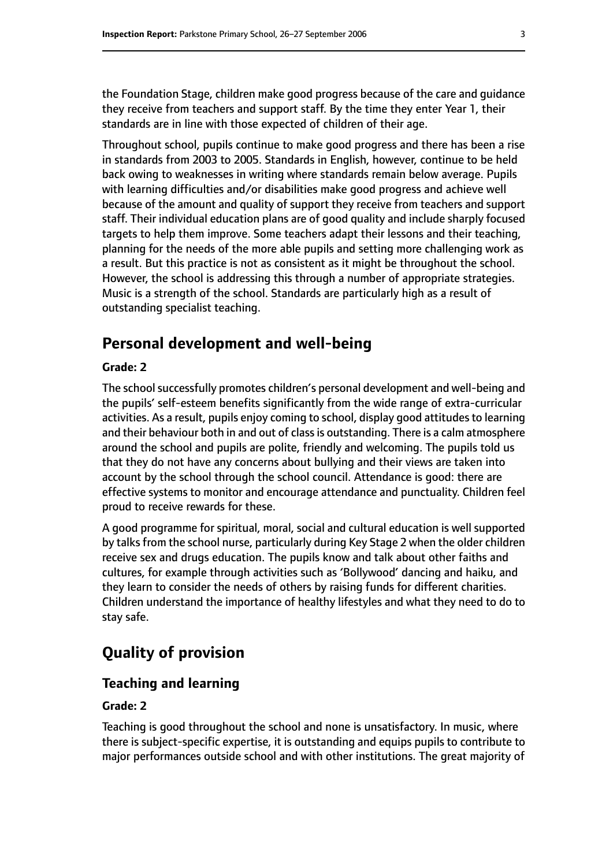the Foundation Stage, children make good progress because of the care and guidance they receive from teachers and support staff. By the time they enter Year 1, their standards are in line with those expected of children of their age.

Throughout school, pupils continue to make good progress and there has been a rise in standards from 2003 to 2005. Standards in English, however, continue to be held back owing to weaknesses in writing where standards remain below average. Pupils with learning difficulties and/or disabilities make good progress and achieve well because of the amount and quality of support they receive from teachers and support staff. Their individual education plans are of good quality and include sharply focused targets to help them improve. Some teachers adapt their lessons and their teaching, planning for the needs of the more able pupils and setting more challenging work as a result. But this practice is not as consistent as it might be throughout the school. However, the school is addressing this through a number of appropriate strategies. Music is a strength of the school. Standards are particularly high as a result of outstanding specialist teaching.

# **Personal development and well-being**

#### **Grade: 2**

The school successfully promotes children's personal development and well-being and the pupils' self-esteem benefits significantly from the wide range of extra-curricular activities. As a result, pupils enjoy coming to school, display good attitudes to learning and their behaviour both in and out of class is outstanding. There is a calm atmosphere around the school and pupils are polite, friendly and welcoming. The pupils told us that they do not have any concerns about bullying and their views are taken into account by the school through the school council. Attendance is good: there are effective systems to monitor and encourage attendance and punctuality. Children feel proud to receive rewards for these.

A good programme for spiritual, moral, social and cultural education is well supported by talks from the school nurse, particularly during Key Stage 2 when the older children receive sex and drugs education. The pupils know and talk about other faiths and cultures, for example through activities such as 'Bollywood' dancing and haiku, and they learn to consider the needs of others by raising funds for different charities. Children understand the importance of healthy lifestyles and what they need to do to stay safe.

# **Quality of provision**

#### **Teaching and learning**

#### **Grade: 2**

Teaching is good throughout the school and none is unsatisfactory. In music, where there is subject-specific expertise, it is outstanding and equips pupils to contribute to major performances outside school and with other institutions. The great majority of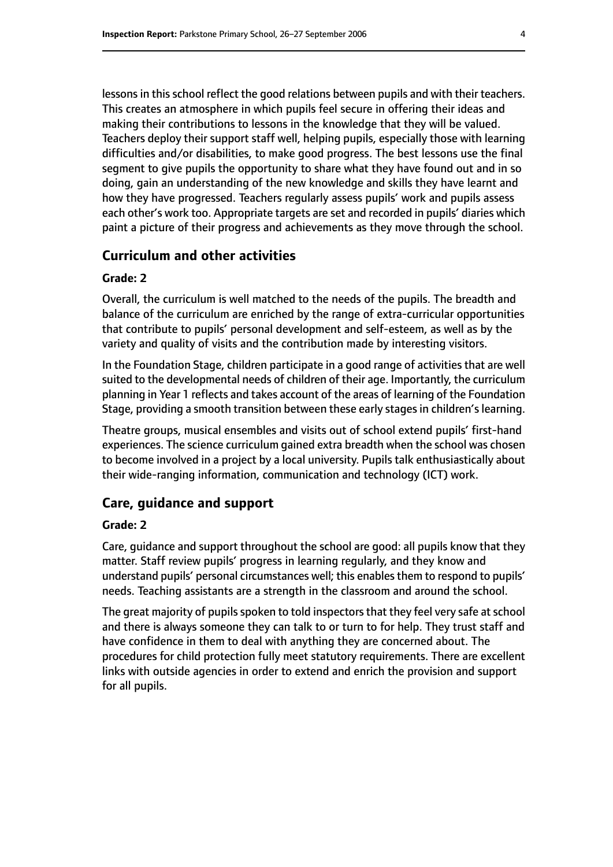lessons in this school reflect the good relations between pupils and with their teachers. This creates an atmosphere in which pupils feel secure in offering their ideas and making their contributions to lessons in the knowledge that they will be valued. Teachers deploy their support staff well, helping pupils, especially those with learning difficulties and/or disabilities, to make good progress. The best lessons use the final segment to give pupils the opportunity to share what they have found out and in so doing, gain an understanding of the new knowledge and skills they have learnt and how they have progressed. Teachers regularly assess pupils' work and pupils assess each other's work too. Appropriate targets are set and recorded in pupils' diaries which paint a picture of their progress and achievements as they move through the school.

#### **Curriculum and other activities**

#### **Grade: 2**

Overall, the curriculum is well matched to the needs of the pupils. The breadth and balance of the curriculum are enriched by the range of extra-curricular opportunities that contribute to pupils' personal development and self-esteem, as well as by the variety and quality of visits and the contribution made by interesting visitors.

In the Foundation Stage, children participate in a good range of activities that are well suited to the developmental needs of children of their age. Importantly, the curriculum planning in Year 1 reflects and takes account of the areas of learning of the Foundation Stage, providing a smooth transition between these early stages in children's learning.

Theatre groups, musical ensembles and visits out of school extend pupils' first-hand experiences. The science curriculum gained extra breadth when the school was chosen to become involved in a project by a local university. Pupils talk enthusiastically about their wide-ranging information, communication and technology (ICT) work.

#### **Care, guidance and support**

#### **Grade: 2**

Care, guidance and support throughout the school are good: all pupils know that they matter. Staff review pupils' progress in learning regularly, and they know and understand pupils' personal circumstances well; this enablesthem to respond to pupils' needs. Teaching assistants are a strength in the classroom and around the school.

The great majority of pupils spoken to told inspectors that they feel very safe at school and there is always someone they can talk to or turn to for help. They trust staff and have confidence in them to deal with anything they are concerned about. The procedures for child protection fully meet statutory requirements. There are excellent links with outside agencies in order to extend and enrich the provision and support for all pupils.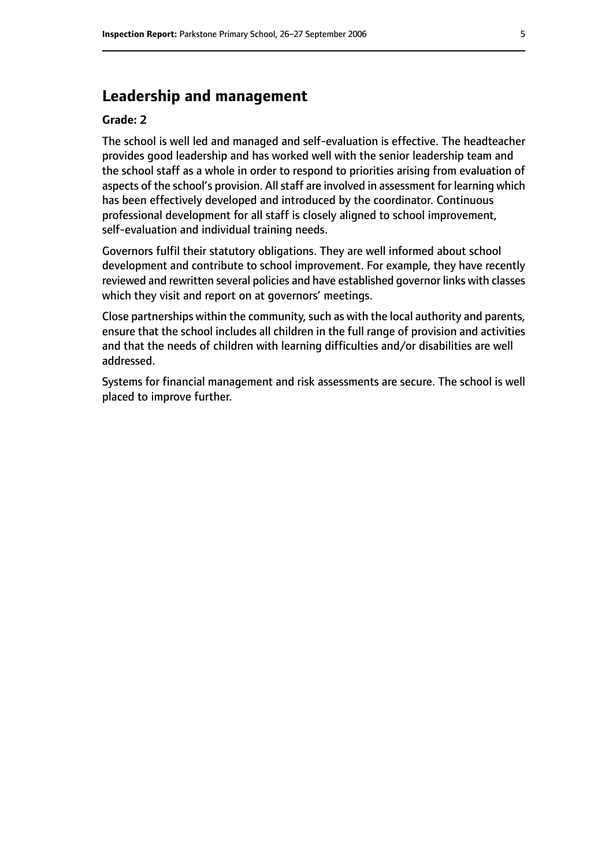# **Leadership and management**

#### **Grade: 2**

The school is well led and managed and self-evaluation is effective. The headteacher provides good leadership and has worked well with the senior leadership team and the school staff as a whole in order to respond to priorities arising from evaluation of aspects of the school's provision. All staff are involved in assessment for learning which has been effectively developed and introduced by the coordinator. Continuous professional development for all staff is closely aligned to school improvement, self-evaluation and individual training needs.

Governors fulfil their statutory obligations. They are well informed about school development and contribute to school improvement. For example, they have recently reviewed and rewritten several policies and have established governor links with classes which they visit and report on at governors' meetings.

Close partnerships within the community, such as with the local authority and parents, ensure that the school includes all children in the full range of provision and activities and that the needs of children with learning difficulties and/or disabilities are well addressed.

Systems for financial management and risk assessments are secure. The school is well placed to improve further.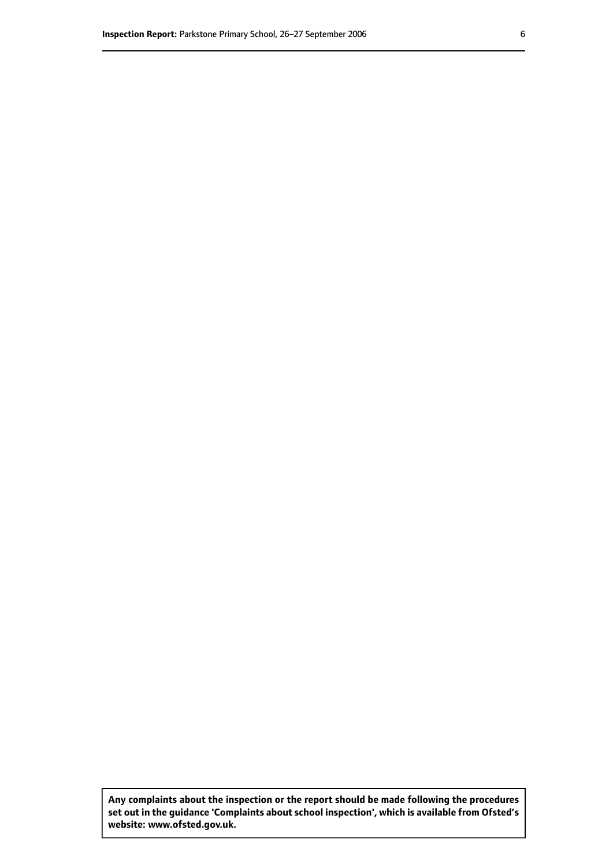**Any complaints about the inspection or the report should be made following the procedures set out inthe guidance 'Complaints about school inspection', whichis available from Ofsted's website: www.ofsted.gov.uk.**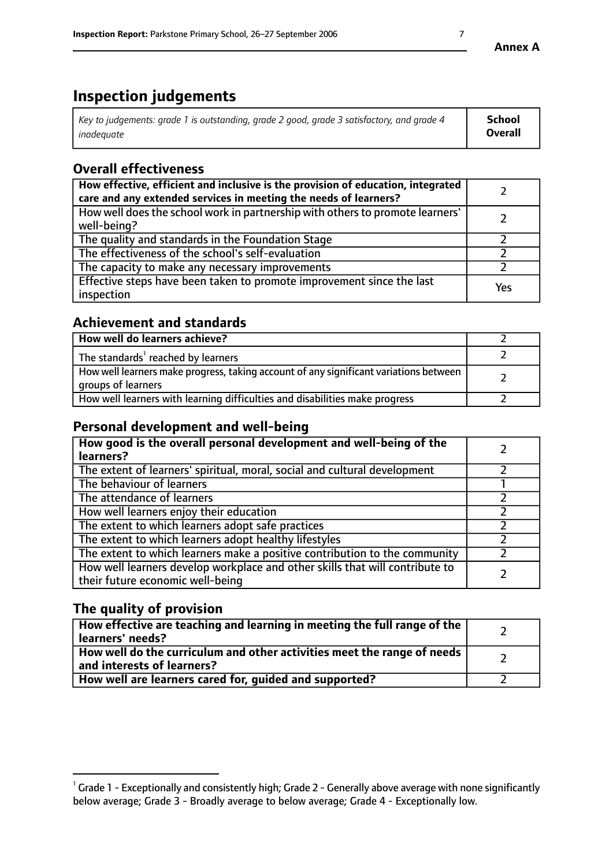# **Inspection judgements**

| Key to judgements: grade 1 is outstanding, grade 2 good, grade 3 satisfactory, and grade 4 | <b>School</b>  |
|--------------------------------------------------------------------------------------------|----------------|
| inadeauate                                                                                 | <b>Overall</b> |

# **Overall effectiveness**

| How effective, efficient and inclusive is the provision of education, integrated<br>care and any extended services in meeting the needs of learners? |     |
|------------------------------------------------------------------------------------------------------------------------------------------------------|-----|
| How well does the school work in partnership with others to promote learners'<br>well-being?                                                         |     |
| The quality and standards in the Foundation Stage                                                                                                    |     |
| The effectiveness of the school's self-evaluation                                                                                                    |     |
| The capacity to make any necessary improvements                                                                                                      |     |
| Effective steps have been taken to promote improvement since the last<br>inspection                                                                  | Yes |

# **Achievement and standards**

| How well do learners achieve?                                                                               |  |
|-------------------------------------------------------------------------------------------------------------|--|
| The standards <sup>1</sup> reached by learners                                                              |  |
| How well learners make progress, taking account of any significant variations between<br>groups of learners |  |
| How well learners with learning difficulties and disabilities make progress                                 |  |

# **Personal development and well-being**

| How good is the overall personal development and well-being of the<br>learners?                                  |  |
|------------------------------------------------------------------------------------------------------------------|--|
| The extent of learners' spiritual, moral, social and cultural development                                        |  |
| The behaviour of learners                                                                                        |  |
| The attendance of learners                                                                                       |  |
| How well learners enjoy their education                                                                          |  |
| The extent to which learners adopt safe practices                                                                |  |
| The extent to which learners adopt healthy lifestyles                                                            |  |
| The extent to which learners make a positive contribution to the community                                       |  |
| How well learners develop workplace and other skills that will contribute to<br>their future economic well-being |  |

# **The quality of provision**

| How effective are teaching and learning in meeting the full range of the<br>learners' needs?          |  |
|-------------------------------------------------------------------------------------------------------|--|
| How well do the curriculum and other activities meet the range of needs<br>and interests of learners? |  |
| How well are learners cared for, guided and supported?                                                |  |

 $^1$  Grade 1 - Exceptionally and consistently high; Grade 2 - Generally above average with none significantly below average; Grade 3 - Broadly average to below average; Grade 4 - Exceptionally low.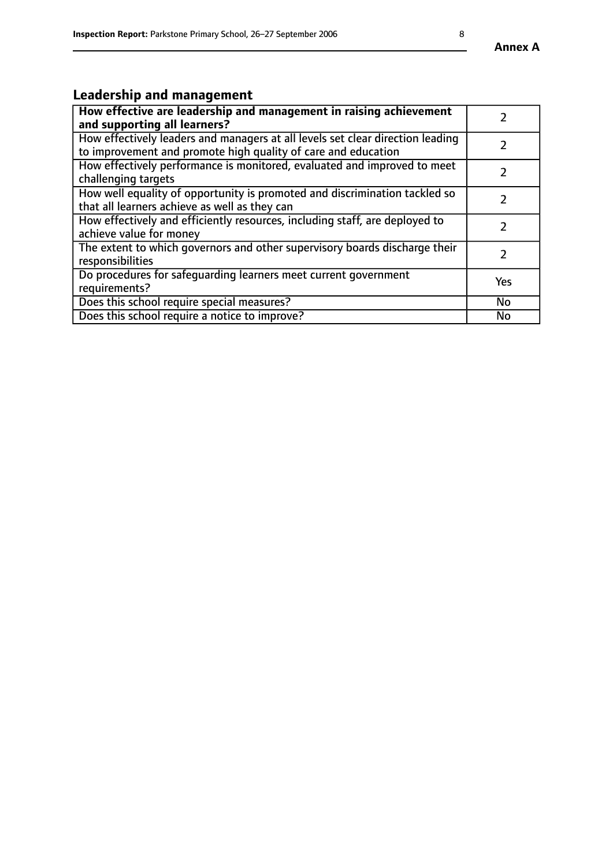# **Leadership and management**

| How effective are leadership and management in raising achievement<br>and supporting all learners?                                              |               |
|-------------------------------------------------------------------------------------------------------------------------------------------------|---------------|
| How effectively leaders and managers at all levels set clear direction leading<br>to improvement and promote high quality of care and education |               |
| How effectively performance is monitored, evaluated and improved to meet<br>challenging targets                                                 | $\mathcal{L}$ |
| How well equality of opportunity is promoted and discrimination tackled so<br>that all learners achieve as well as they can                     |               |
| How effectively and efficiently resources, including staff, are deployed to<br>achieve value for money                                          | $\mathcal{P}$ |
| The extent to which governors and other supervisory boards discharge their<br>responsibilities                                                  |               |
| Do procedures for safequarding learners meet current government<br>requirements?                                                                | Yes           |
| Does this school require special measures?                                                                                                      | No            |
| Does this school require a notice to improve?                                                                                                   | <b>No</b>     |